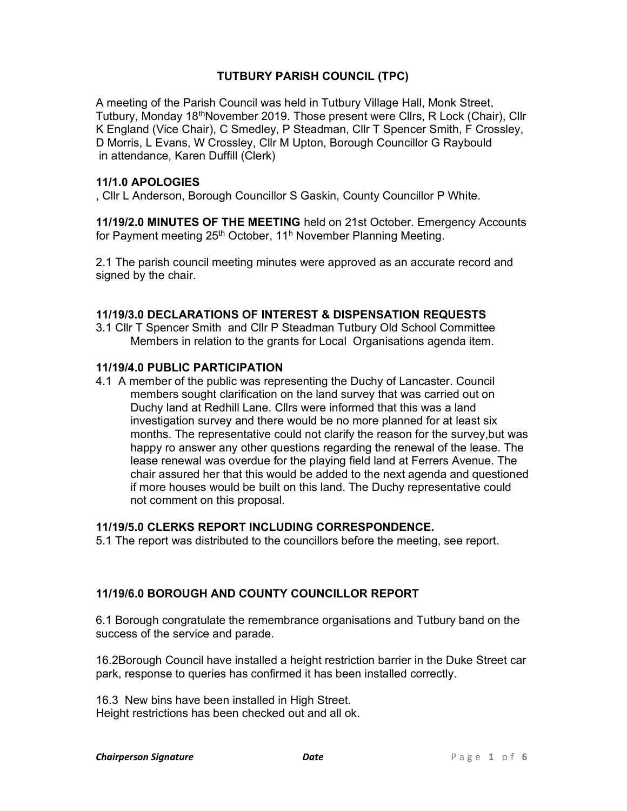# TUTBURY PARISH COUNCIL (TPC)

A meeting of the Parish Council was held in Tutbury Village Hall, Monk Street, Tutbury, Monday 18thNovember 2019. Those present were Cllrs, R Lock (Chair), Cllr K England (Vice Chair), C Smedley, P Steadman, Cllr T Spencer Smith, F Crossley, D Morris, L Evans, W Crossley, Cllr M Upton, Borough Councillor G Raybould in attendance, Karen Duffill (Clerk)

### 11/1.0 APOLOGIES

, Cllr L Anderson, Borough Councillor S Gaskin, County Councillor P White.

11/19/2.0 MINUTES OF THE MEETING held on 21st October. Emergency Accounts for Payment meeting 25<sup>th</sup> October, 11<sup>h</sup> November Planning Meeting.

2.1 The parish council meeting minutes were approved as an accurate record and signed by the chair.

### 11/19/3.0 DECLARATIONS OF INTEREST & DISPENSATION REQUESTS

3.1 Cllr T Spencer Smith and Cllr P Steadman Tutbury Old School Committee Members in relation to the grants for Local Organisations agenda item.

#### 11/19/4.0 PUBLIC PARTICIPATION

4.1 A member of the public was representing the Duchy of Lancaster. Council members sought clarification on the land survey that was carried out on Duchy land at Redhill Lane. Cllrs were informed that this was a land investigation survey and there would be no more planned for at least six months. The representative could not clarify the reason for the survey,but was happy ro answer any other questions regarding the renewal of the lease. The lease renewal was overdue for the playing field land at Ferrers Avenue. The chair assured her that this would be added to the next agenda and questioned if more houses would be built on this land. The Duchy representative could not comment on this proposal.

### 11/19/5.0 CLERKS REPORT INCLUDING CORRESPONDENCE.

5.1 The report was distributed to the councillors before the meeting, see report.

### 11/19/6.0 BOROUGH AND COUNTY COUNCILLOR REPORT

6.1 Borough congratulate the remembrance organisations and Tutbury band on the success of the service and parade.

16.2Borough Council have installed a height restriction barrier in the Duke Street car park, response to queries has confirmed it has been installed correctly.

16.3 New bins have been installed in High Street. Height restrictions has been checked out and all ok.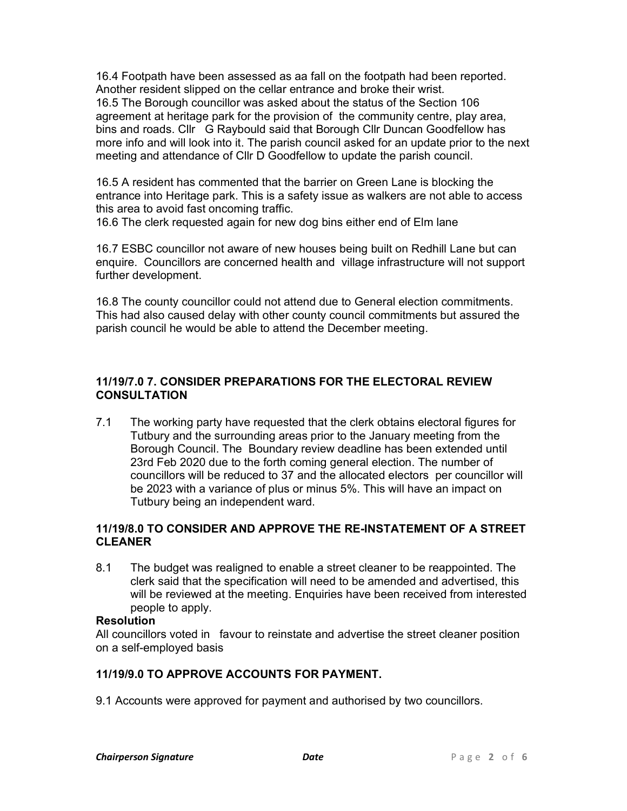16.4 Footpath have been assessed as aa fall on the footpath had been reported. Another resident slipped on the cellar entrance and broke their wrist. 16.5 The Borough councillor was asked about the status of the Section 106 agreement at heritage park for the provision of the community centre, play area, bins and roads. Cllr G Raybould said that Borough Cllr Duncan Goodfellow has more info and will look into it. The parish council asked for an update prior to the next meeting and attendance of Cllr D Goodfellow to update the parish council.

16.5 A resident has commented that the barrier on Green Lane is blocking the entrance into Heritage park. This is a safety issue as walkers are not able to access this area to avoid fast oncoming traffic.

16.6 The clerk requested again for new dog bins either end of Elm lane

16.7 ESBC councillor not aware of new houses being built on Redhill Lane but can enquire. Councillors are concerned health and village infrastructure will not support further development.

16.8 The county councillor could not attend due to General election commitments. This had also caused delay with other county council commitments but assured the parish council he would be able to attend the December meeting.

# 11/19/7.0 7. CONSIDER PREPARATIONS FOR THE ELECTORAL REVIEW **CONSULTATION**

7.1 The working party have requested that the clerk obtains electoral figures for Tutbury and the surrounding areas prior to the January meeting from the Borough Council. The Boundary review deadline has been extended until 23rd Feb 2020 due to the forth coming general election. The number of councillors will be reduced to 37 and the allocated electors per councillor will be 2023 with a variance of plus or minus 5%. This will have an impact on Tutbury being an independent ward.

# 11/19/8.0 TO CONSIDER AND APPROVE THE RE-INSTATEMENT OF A STREET CLEANER

8.1 The budget was realigned to enable a street cleaner to be reappointed. The clerk said that the specification will need to be amended and advertised, this will be reviewed at the meeting. Enquiries have been received from interested people to apply.

### **Resolution**

All councillors voted in favour to reinstate and advertise the street cleaner position on a self-employed basis

# 11/19/9.0 TO APPROVE ACCOUNTS FOR PAYMENT.

9.1 Accounts were approved for payment and authorised by two councillors.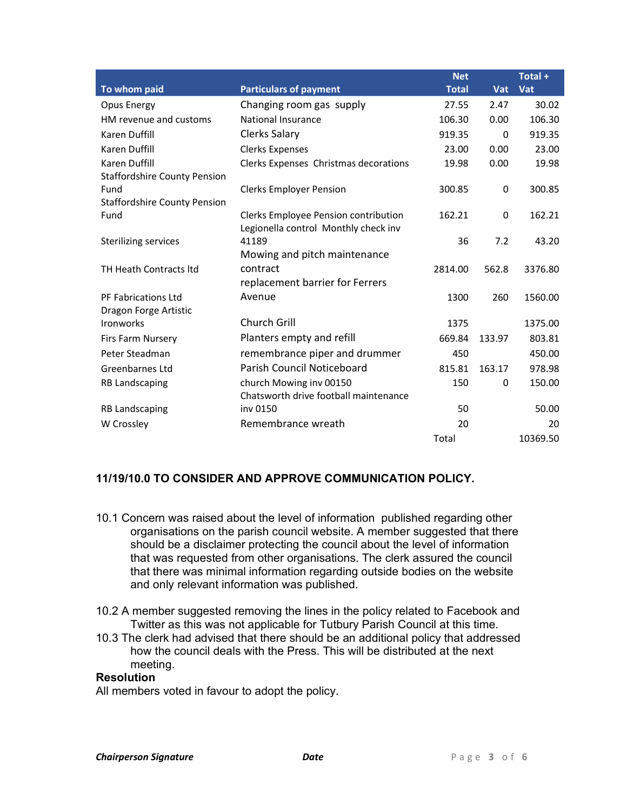|                                     |                                       | <b>Net</b>   |        | Total +  |
|-------------------------------------|---------------------------------------|--------------|--------|----------|
| To whom paid                        | <b>Particulars of payment</b>         | <b>Total</b> | Vat    | $Vat$    |
| Opus Energy                         | Changing room gas supply              | 27.55        | 2.47   | 30.02    |
| HM revenue and customs              | National Insurance                    | 106.30       | 0.00   | 106.30   |
| Karen Duffill                       | Clerks Salary                         | 919.35       | 0      | 919.35   |
| Karen Duffill                       | <b>Clerks Expenses</b>                | 23.00        | 0.00   | 23.00    |
| Karen Duffill                       | Clerks Expenses Christmas decorations | 19.98        | 0.00   | 19.98    |
| <b>Staffordshire County Pension</b> |                                       |              |        |          |
| Fund                                | <b>Clerks Employer Pension</b>        | 300.85       | 0      | 300.85   |
| <b>Staffordshire County Pension</b> |                                       |              |        |          |
| Fund                                | Clerks Employee Pension contribution  | 162.21       | 0      | 162.21   |
|                                     | Legionella control Monthly check inv  |              |        |          |
| Sterilizing services                | 41189                                 | 36           | 7.2    | 43.20    |
|                                     | Mowing and pitch maintenance          |              |        |          |
| TH Heath Contracts Itd              | contract                              | 2814.00      | 562.8  | 3376.80  |
|                                     | replacement barrier for Ferrers       |              |        |          |
| PF Fabrications Ltd                 | Avenue                                | 1300         | 260    | 1560.00  |
| Dragon Forge Artistic               |                                       |              |        |          |
| <b>Ironworks</b>                    | <b>Church Grill</b>                   | 1375         |        | 1375.00  |
| Firs Farm Nursery                   | Planters empty and refill             | 669.84       | 133.97 | 803.81   |
| Peter Steadman                      | remembrance piper and drummer         | 450          |        | 450.00   |
| Greenbarnes Ltd                     | Parish Council Noticeboard            | 815.81       | 163.17 | 978.98   |
| <b>RB Landscaping</b>               | church Mowing inv 00150               | 150          | 0      | 150.00   |
|                                     | Chatsworth drive football maintenance |              |        |          |
| <b>RB Landscaping</b>               | inv 0150                              | 50           |        | 50.00    |
| W Crossley                          | Remembrance wreath                    | 20           |        | 20       |
|                                     |                                       | Total        |        | 10369.50 |

# 11/19/10.0 TO CONSIDER AND APPROVE COMMUNICATION POLICY.

- 10.1 Concern was raised about the level of information published regarding other organisations on the parish council website. A member suggested that there should be a disclaimer protecting the council about the level of information that was requested from other organisations. The clerk assured the council that there was minimal information regarding outside bodies on the website and only relevant information was published.
- 10.2 A member suggested removing the lines in the policy related to Facebook and Twitter as this was not applicable for Tutbury Parish Council at this time.
- 10.3 The clerk had advised that there should be an additional policy that addressed how the council deals with the Press. This will be distributed at the next meeting.

#### Resolution

All members voted in favour to adopt the policy.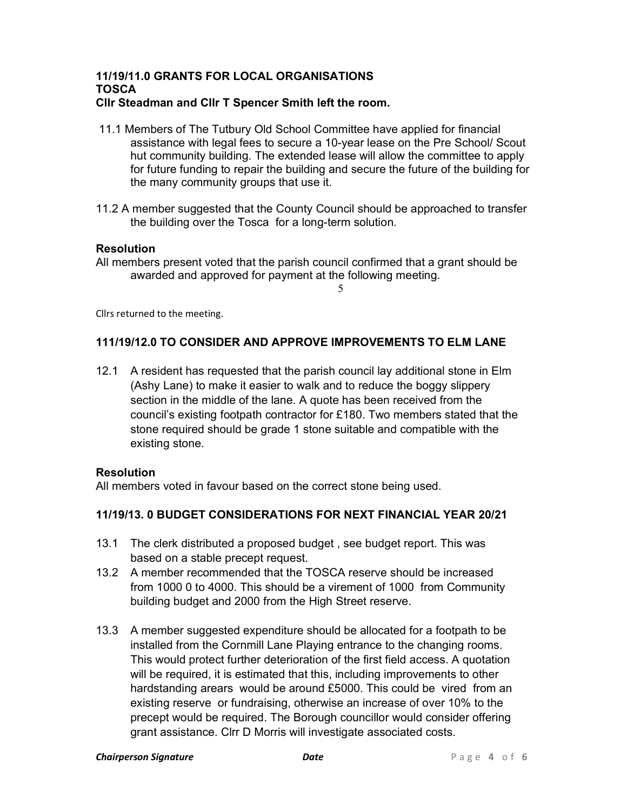#### 11/19/11.0 GRANTS FOR LOCAL ORGANISATIONS TOSCA Cllr Steadman and Cllr T Spencer Smith left the room.

- 11.1 Members of The Tutbury Old School Committee have applied for financial assistance with legal fees to secure a 10-year lease on the Pre School/ Scout hut community building. The extended lease will allow the committee to apply for future funding to repair the building and secure the future of the building for the many community groups that use it.
- 11.2 A member suggested that the County Council should be approached to transfer the building over the Tosca for a long-term solution.

## **Resolution**

All members present voted that the parish council confirmed that a grant should be awarded and approved for payment at the following meeting.

5

Cllrs returned to the meeting.

# 111/19/12.0 TO CONSIDER AND APPROVE IMPROVEMENTS TO ELM LANE

12.1 A resident has requested that the parish council lay additional stone in Elm (Ashy Lane) to make it easier to walk and to reduce the boggy slippery section in the middle of the lane. A quote has been received from the council's existing footpath contractor for £180. Two members stated that the stone required should be grade 1 stone suitable and compatible with the existing stone.

### Resolution

All members voted in favour based on the correct stone being used.

# 11/19/13. 0 BUDGET CONSIDERATIONS FOR NEXT FINANCIAL YEAR 20/21

- 13.1 The clerk distributed a proposed budget , see budget report. This was based on a stable precept request.
- 13.2 A member recommended that the TOSCA reserve should be increased from 1000 0 to 4000. This should be a virement of 1000 from Community building budget and 2000 from the High Street reserve.
- 13.3 A member suggested expenditure should be allocated for a footpath to be installed from the Cornmill Lane Playing entrance to the changing rooms. This would protect further deterioration of the first field access. A quotation will be required, it is estimated that this, including improvements to other hardstanding arears would be around £5000. This could be vired from an existing reserve or fundraising, otherwise an increase of over 10% to the precept would be required. The Borough councillor would consider offering grant assistance. Clrr D Morris will investigate associated costs.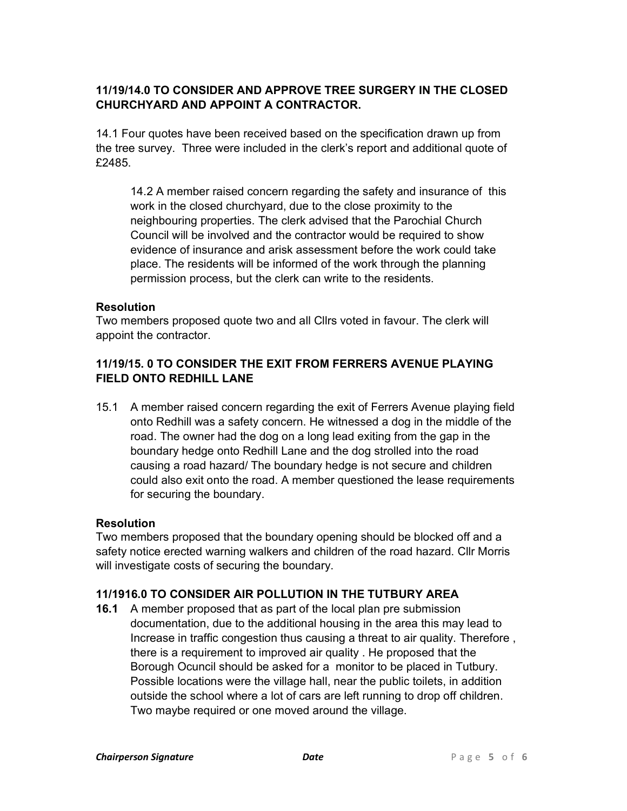# 11/19/14.0 TO CONSIDER AND APPROVE TREE SURGERY IN THE CLOSED CHURCHYARD AND APPOINT A CONTRACTOR.

14.1 Four quotes have been received based on the specification drawn up from the tree survey. Three were included in the clerk's report and additional quote of £2485.

14.2 A member raised concern regarding the safety and insurance of this work in the closed churchyard, due to the close proximity to the neighbouring properties. The clerk advised that the Parochial Church Council will be involved and the contractor would be required to show evidence of insurance and arisk assessment before the work could take place. The residents will be informed of the work through the planning permission process, but the clerk can write to the residents.

## **Resolution**

Two members proposed quote two and all Cllrs voted in favour. The clerk will appoint the contractor.

# 11/19/15. 0 TO CONSIDER THE EXIT FROM FERRERS AVENUE PLAYING FIELD ONTO REDHILL LANE

15.1 A member raised concern regarding the exit of Ferrers Avenue playing field onto Redhill was a safety concern. He witnessed a dog in the middle of the road. The owner had the dog on a long lead exiting from the gap in the boundary hedge onto Redhill Lane and the dog strolled into the road causing a road hazard/ The boundary hedge is not secure and children could also exit onto the road. A member questioned the lease requirements for securing the boundary.

### **Resolution**

Two members proposed that the boundary opening should be blocked off and a safety notice erected warning walkers and children of the road hazard. Cllr Morris will investigate costs of securing the boundary.

# 11/1916.0 TO CONSIDER AIR POLLUTION IN THE TUTBURY AREA

16.1 A member proposed that as part of the local plan pre submission documentation, due to the additional housing in the area this may lead to Increase in traffic congestion thus causing a threat to air quality. Therefore , there is a requirement to improved air quality . He proposed that the Borough Ocuncil should be asked for a monitor to be placed in Tutbury. Possible locations were the village hall, near the public toilets, in addition outside the school where a lot of cars are left running to drop off children. Two maybe required or one moved around the village.